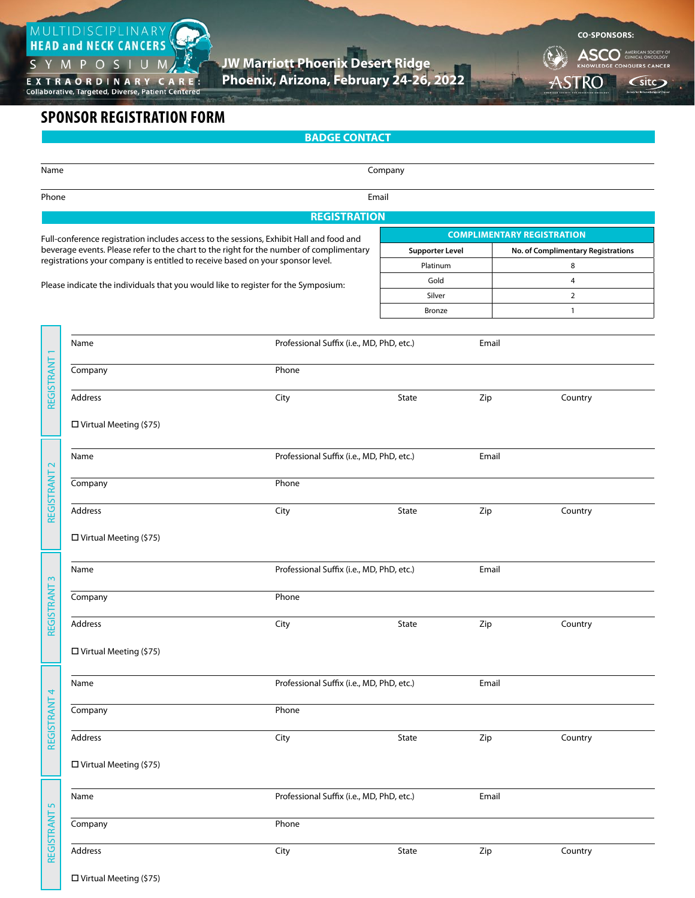

**JW Marriott Phoenix Desert Ridge**

EXTRAORDINARY CARE:<br>Collaborative, Targeted, Diverse, Patient Centered

**Phoenix, Arizona, February 24-26, 2022**

**BADGE CONTACT**

**CO-SPONSORS:**  ASCO<sup>\*</sup> AMERICAN SOCIETY OF CLINICAL ONCOLOGY

ASTRO (site)

**AMERICAN SOCIETY FOR RADIATION ONC OLOGY**

## **SPONSOR REGISTRATION FORM**

| Name                         |                                                                                         |                                           | Company                |       |                                    |  |  |  |  |  |
|------------------------------|-----------------------------------------------------------------------------------------|-------------------------------------------|------------------------|-------|------------------------------------|--|--|--|--|--|
|                              |                                                                                         |                                           |                        |       |                                    |  |  |  |  |  |
| Email<br>Phone               |                                                                                         |                                           |                        |       |                                    |  |  |  |  |  |
| <b>REGISTRATION</b>          |                                                                                         |                                           |                        |       |                                    |  |  |  |  |  |
|                              | Full-conference registration includes access to the sessions, Exhibit Hall and food and |                                           |                        |       | <b>COMPLIMENTARY REGISTRATION</b>  |  |  |  |  |  |
|                              | beverage events. Please refer to the chart to the right for the number of complimentary |                                           | <b>Supporter Level</b> |       | No. of Complimentary Registrations |  |  |  |  |  |
|                              | registrations your company is entitled to receive based on your sponsor level.          |                                           | Platinum               |       | 8                                  |  |  |  |  |  |
|                              | Please indicate the individuals that you would like to register for the Symposium:      |                                           | Gold                   |       | 4                                  |  |  |  |  |  |
|                              |                                                                                         |                                           | Silver                 |       | $\overline{2}$                     |  |  |  |  |  |
|                              |                                                                                         |                                           | Bronze                 |       | $\mathbf{1}$                       |  |  |  |  |  |
|                              |                                                                                         |                                           |                        |       |                                    |  |  |  |  |  |
| REGISTRANT                   | Professional Suffix (i.e., MD, PhD, etc.)<br>Email<br>Name                              |                                           |                        |       |                                    |  |  |  |  |  |
|                              | Company                                                                                 | Phone                                     |                        |       |                                    |  |  |  |  |  |
|                              |                                                                                         |                                           |                        |       |                                    |  |  |  |  |  |
|                              | Address                                                                                 | City                                      | State                  | Zip   | Country                            |  |  |  |  |  |
|                              |                                                                                         |                                           |                        |       |                                    |  |  |  |  |  |
|                              | $\Box$ Virtual Meeting (\$75)                                                           |                                           |                        |       |                                    |  |  |  |  |  |
|                              |                                                                                         |                                           |                        |       |                                    |  |  |  |  |  |
| $\mathbf{\sim}$              | Name                                                                                    | Professional Suffix (i.e., MD, PhD, etc.) |                        | Email |                                    |  |  |  |  |  |
| REGISTRANT                   | Company                                                                                 | Phone                                     |                        |       |                                    |  |  |  |  |  |
|                              |                                                                                         |                                           |                        |       |                                    |  |  |  |  |  |
|                              | Address                                                                                 | City                                      | State                  | Zip   | Country                            |  |  |  |  |  |
|                              |                                                                                         |                                           |                        |       |                                    |  |  |  |  |  |
|                              | $\square$ Virtual Meeting (\$75)                                                        |                                           |                        |       |                                    |  |  |  |  |  |
|                              | Name                                                                                    | Professional Suffix (i.e., MD, PhD, etc.) |                        | Email |                                    |  |  |  |  |  |
| $\sim$                       |                                                                                         |                                           |                        |       |                                    |  |  |  |  |  |
| REGISTRANT                   | Company                                                                                 | Phone                                     |                        |       |                                    |  |  |  |  |  |
|                              |                                                                                         |                                           |                        |       |                                    |  |  |  |  |  |
|                              | Address                                                                                 | City                                      | State                  | Zip   | Country                            |  |  |  |  |  |
|                              | $\Box$ Virtual Meeting (\$75)                                                           |                                           |                        |       |                                    |  |  |  |  |  |
|                              |                                                                                         |                                           |                        |       |                                    |  |  |  |  |  |
|                              | Name                                                                                    | Professional Suffix (i.e., MD, PhD, etc.) | Email                  |       |                                    |  |  |  |  |  |
| 4                            |                                                                                         |                                           |                        |       |                                    |  |  |  |  |  |
| REGISTRANT                   | Company                                                                                 | Phone                                     |                        |       |                                    |  |  |  |  |  |
|                              |                                                                                         |                                           |                        |       |                                    |  |  |  |  |  |
|                              | Address                                                                                 | City                                      | State                  | Zip   | Country                            |  |  |  |  |  |
|                              | $\Box$ Virtual Meeting (\$75)                                                           |                                           |                        |       |                                    |  |  |  |  |  |
|                              |                                                                                         |                                           |                        |       |                                    |  |  |  |  |  |
| $\overline{5}$<br>REGISTRANT | Professional Suffix (i.e., MD, PhD, etc.)<br>Name                                       |                                           |                        |       |                                    |  |  |  |  |  |
|                              |                                                                                         | Email                                     |                        |       |                                    |  |  |  |  |  |
|                              | Company                                                                                 | Phone                                     |                        |       |                                    |  |  |  |  |  |
|                              | Address                                                                                 | City                                      | State                  | Zip   | Country                            |  |  |  |  |  |
|                              |                                                                                         |                                           |                        |       |                                    |  |  |  |  |  |
|                              | $\square$ Virtual Meeting (\$75)                                                        |                                           |                        |       |                                    |  |  |  |  |  |